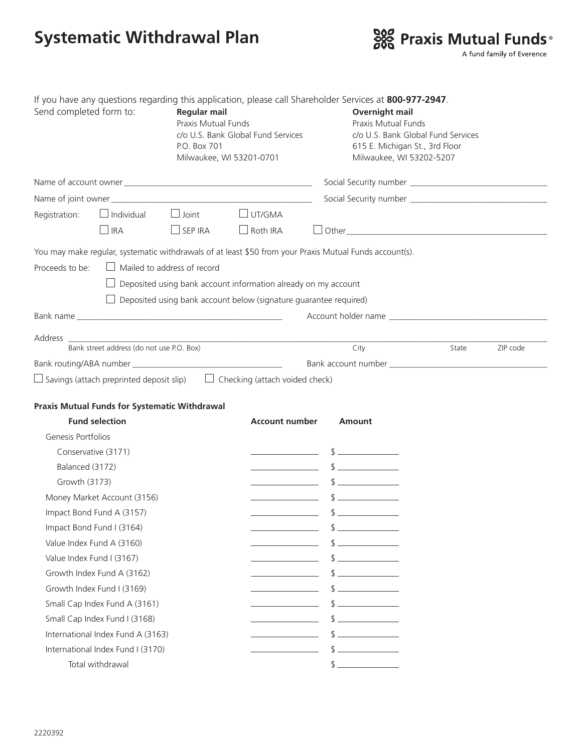## **Systematic Withdrawal Plan**



| Send completed form to:           |                                                                                                                                                                                                                               | If you have any questions regarding this application, please call Shareholder Services at 800-977-2947.<br><b>Regular mail</b><br><b>Praxis Mutual Funds</b><br>c/o U.S. Bank Global Fund Services<br>P.O. Box 701<br>Milwaukee, WI 53201-0701 |                                                                                                                       | <b>Overnight mail</b><br><b>Praxis Mutual Funds</b><br>c/o U.S. Bank Global Fund Services<br>615 E. Michigan St., 3rd Floor<br>Milwaukee, WI 53202-5207 |       |          |
|-----------------------------------|-------------------------------------------------------------------------------------------------------------------------------------------------------------------------------------------------------------------------------|------------------------------------------------------------------------------------------------------------------------------------------------------------------------------------------------------------------------------------------------|-----------------------------------------------------------------------------------------------------------------------|---------------------------------------------------------------------------------------------------------------------------------------------------------|-------|----------|
|                                   |                                                                                                                                                                                                                               |                                                                                                                                                                                                                                                |                                                                                                                       |                                                                                                                                                         |       |          |
|                                   |                                                                                                                                                                                                                               |                                                                                                                                                                                                                                                |                                                                                                                       |                                                                                                                                                         |       |          |
| Registration:                     | $\Box$ Joint<br>$\Box$ Individual                                                                                                                                                                                             |                                                                                                                                                                                                                                                | $\Box$ UT/GMA                                                                                                         |                                                                                                                                                         |       |          |
|                                   | $\Box$ IRA                                                                                                                                                                                                                    | $\Box$ SEP IRA                                                                                                                                                                                                                                 | $\Box$ Roth IRA                                                                                                       |                                                                                                                                                         |       |          |
|                                   |                                                                                                                                                                                                                               |                                                                                                                                                                                                                                                |                                                                                                                       | You may make regular, systematic withdrawals of at least \$50 from your Praxis Mutual Funds account(s).                                                 |       |          |
| Proceeds to be:                   |                                                                                                                                                                                                                               | $\Box$ Mailed to address of record                                                                                                                                                                                                             |                                                                                                                       |                                                                                                                                                         |       |          |
|                                   |                                                                                                                                                                                                                               |                                                                                                                                                                                                                                                | Deposited using bank account information already on my account                                                        |                                                                                                                                                         |       |          |
|                                   |                                                                                                                                                                                                                               |                                                                                                                                                                                                                                                | Deposited using bank account below (signature guarantee required)                                                     |                                                                                                                                                         |       |          |
|                                   | Bank name and the state of the state of the state of the state of the state of the state of the state of the state of the state of the state of the state of the state of the state of the state of the state of the state of |                                                                                                                                                                                                                                                |                                                                                                                       |                                                                                                                                                         |       |          |
|                                   |                                                                                                                                                                                                                               |                                                                                                                                                                                                                                                |                                                                                                                       |                                                                                                                                                         |       |          |
|                                   |                                                                                                                                                                                                                               |                                                                                                                                                                                                                                                | Address<br>Bank street address (do not use P.O. Box)                                                                  | City                                                                                                                                                    | State | ZIP code |
|                                   |                                                                                                                                                                                                                               |                                                                                                                                                                                                                                                |                                                                                                                       |                                                                                                                                                         |       |          |
|                                   |                                                                                                                                                                                                                               |                                                                                                                                                                                                                                                | $\Box$ Savings (attach preprinted deposit slip) $\Box$ Checking (attach voided check)                                 |                                                                                                                                                         |       |          |
|                                   | <b>Praxis Mutual Funds for Systematic Withdrawal</b><br><b>Fund selection</b>                                                                                                                                                 |                                                                                                                                                                                                                                                | <b>Account number</b>                                                                                                 | Amount                                                                                                                                                  |       |          |
|                                   | Genesis Portfolios                                                                                                                                                                                                            |                                                                                                                                                                                                                                                |                                                                                                                       |                                                                                                                                                         |       |          |
| Conservative (3171)               |                                                                                                                                                                                                                               |                                                                                                                                                                                                                                                | <u> 1980 - John Harry Harry Harry Harry Harry Harry Harry Harry Harry Harry Harry Harry Harry Harry Harry Harry H</u> | $\frac{1}{2}$                                                                                                                                           |       |          |
| Balanced (3172)                   |                                                                                                                                                                                                                               |                                                                                                                                                                                                                                                |                                                                                                                       | $\frac{1}{2}$                                                                                                                                           |       |          |
| Growth (3173)                     |                                                                                                                                                                                                                               |                                                                                                                                                                                                                                                |                                                                                                                       | $\frac{1}{2}$                                                                                                                                           |       |          |
|                                   | Money Market Account (3156)                                                                                                                                                                                                   |                                                                                                                                                                                                                                                |                                                                                                                       | $\sim$                                                                                                                                                  |       |          |
| Impact Bond Fund A (3157)         |                                                                                                                                                                                                                               |                                                                                                                                                                                                                                                |                                                                                                                       | $\mathcal{L}$                                                                                                                                           |       |          |
| Impact Bond Fund I (3164)         |                                                                                                                                                                                                                               |                                                                                                                                                                                                                                                |                                                                                                                       |                                                                                                                                                         |       |          |
| Value Index Fund A (3160)         |                                                                                                                                                                                                                               |                                                                                                                                                                                                                                                |                                                                                                                       |                                                                                                                                                         |       |          |
| Value Index Fund I (3167)         |                                                                                                                                                                                                                               |                                                                                                                                                                                                                                                |                                                                                                                       |                                                                                                                                                         |       |          |
|                                   | Growth Index Fund A (3162)                                                                                                                                                                                                    |                                                                                                                                                                                                                                                |                                                                                                                       |                                                                                                                                                         |       |          |
| Growth Index Fund I (3169)        |                                                                                                                                                                                                                               |                                                                                                                                                                                                                                                |                                                                                                                       |                                                                                                                                                         |       |          |
| Small Cap Index Fund A (3161)     |                                                                                                                                                                                                                               |                                                                                                                                                                                                                                                |                                                                                                                       |                                                                                                                                                         |       |          |
| Small Cap Index Fund I (3168)     |                                                                                                                                                                                                                               |                                                                                                                                                                                                                                                |                                                                                                                       |                                                                                                                                                         |       |          |
| International Index Fund A (3163) |                                                                                                                                                                                                                               |                                                                                                                                                                                                                                                |                                                                                                                       |                                                                                                                                                         |       |          |
| International Index Fund I (3170) |                                                                                                                                                                                                                               |                                                                                                                                                                                                                                                |                                                                                                                       |                                                                                                                                                         |       |          |

Total withdrawal  $\qquad \qquad$  Total withdrawal  $\qquad \qquad$  Total withdrawal